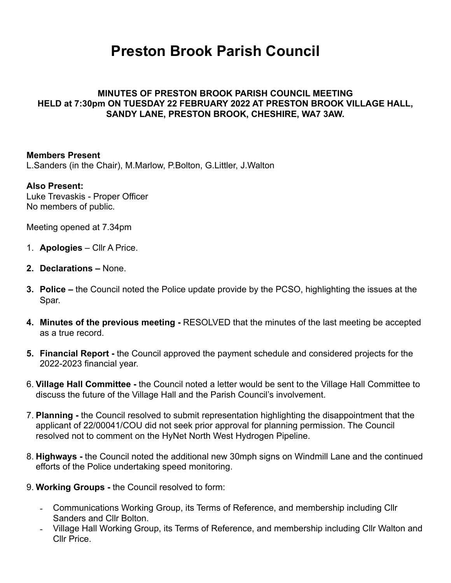# **Preston Brook Parish Council**

#### **MINUTES OF PRESTON BROOK PARISH COUNCIL MEETING HELD at 7:30pm ON TUESDAY 22 FEBRUARY 2022 AT PRESTON BROOK VILLAGE HALL, SANDY LANE, PRESTON BROOK, CHESHIRE, WA7 3AW.**

#### **Members Present**

L.Sanders (in the Chair), M.Marlow, P.Bolton, G.Littler, J.Walton

#### **Also Present:**

Luke Trevaskis - Proper Officer No members of public.

Meeting opened at 7.34pm

- 1. **Apologies** Cllr A Price.
- **2. Declarations** None.
- **3. Police** the Council noted the Police update provide by the PCSO, highlighting the issues at the Spar.
- **4. Minutes of the previous meeting** RESOLVED that the minutes of the last meeting be accepted as a true record.
- **5. Financial Report** the Council approved the payment schedule and considered projects for the 2022-2023 financial year.
- 6. **Village Hall Committee** the Council noted a letter would be sent to the Village Hall Committee to discuss the future of the Village Hall and the Parish Council's involvement.
- 7. **Planning** the Council resolved to submit representation highlighting the disappointment that the applicant of 22/00041/COU did not seek prior approval for planning permission. The Council resolved not to comment on the HyNet North West Hydrogen Pipeline.
- 8. **Highways** the Council noted the additional new 30mph signs on Windmill Lane and the continued efforts of the Police undertaking speed monitoring.
- 9. **Working Groups** the Council resolved to form:
	- Communications Working Group, its Terms of Reference, and membership including Cllr Sanders and Cllr Bolton.
	- Village Hall Working Group, its Terms of Reference, and membership including Cllr Walton and Cllr Price.